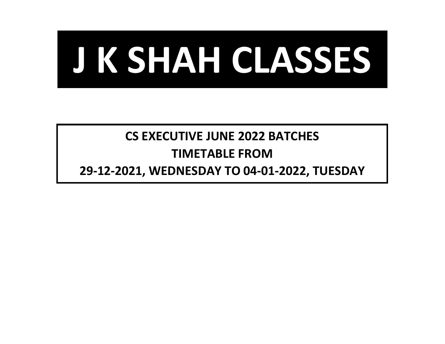

## **CS EXECUTIVE JUNE 2022 BATCHES TIMETABLE FROM**

**29-12-2021, WEDNESDAY TO 04-01-2022, TUESDAY**